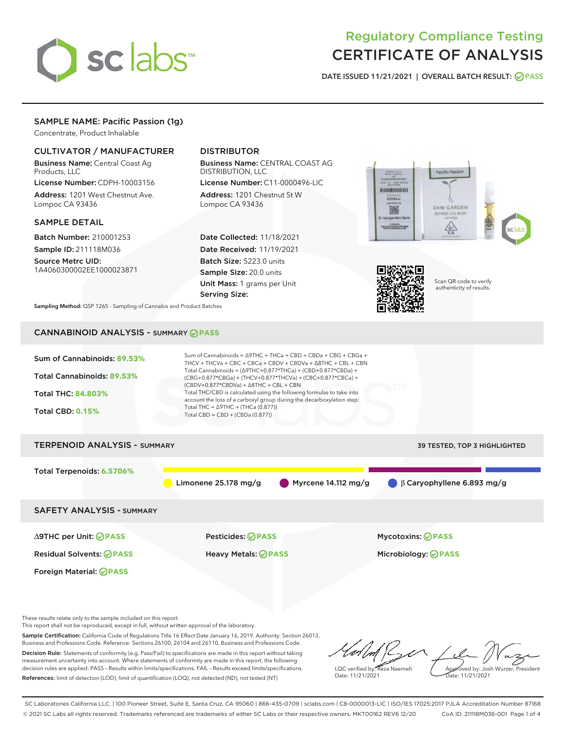

# Regulatory Compliance Testing CERTIFICATE OF ANALYSIS

DATE ISSUED 11/21/2021 | OVERALL BATCH RESULT: @ PASS

# SAMPLE NAME: Pacific Passion (1g)

Concentrate, Product Inhalable

# CULTIVATOR / MANUFACTURER

Business Name: Central Coast Ag Products, LLC

License Number: CDPH-10003156 Address: 1201 West Chestnut Ave. Lompoc CA 93436

### SAMPLE DETAIL

Batch Number: 210001253 Sample ID: 211118M036

Source Metrc UID: 1A4060300002EE1000023871

# DISTRIBUTOR

Business Name: CENTRAL COAST AG DISTRIBUTION, LLC

License Number: C11-0000496-LIC Address: 1201 Chestnut St W Lompoc CA 93436

Date Collected: 11/18/2021 Date Received: 11/19/2021 Batch Size: 5223.0 units Sample Size: 20.0 units Unit Mass: 1 grams per Unit Serving Size:





Scan QR code to verify authenticity of results.

Sampling Method: QSP 1265 - Sampling of Cannabis and Product Batches

# CANNABINOID ANALYSIS - SUMMARY **PASS**

| Sum of Cannabinoids: 89.53%<br>Total Cannabinoids: 89.53%<br>Total THC: 84.803%<br><b>Total CBD: 0.15%</b> | Sum of Cannabinoids = $\triangle$ 9THC + THCa + CBD + CBDa + CBG + CBGa +<br>THCV + THCVa + CBC + CBCa + CBDV + CBDVa + $\Delta$ 8THC + CBL + CBN<br>Total Cannabinoids = $(\Delta 9THC + 0.877*THCa) + (CBD+0.877*CBDa) +$<br>(CBG+0.877*CBGa) + (THCV+0.877*THCVa) + (CBC+0.877*CBCa) +<br>$(CBDV+0.877*CBDVa) + \Delta 8THC + CBL + CBN$<br>Total THC/CBD is calculated using the following formulas to take into<br>account the loss of a carboxyl group during the decarboxylation step:<br>Total THC = $\triangle$ 9THC + (THCa (0.877))<br>Total CBD = $CBD + (CBDa (0.877))$ |                                  |
|------------------------------------------------------------------------------------------------------------|--------------------------------------------------------------------------------------------------------------------------------------------------------------------------------------------------------------------------------------------------------------------------------------------------------------------------------------------------------------------------------------------------------------------------------------------------------------------------------------------------------------------------------------------------------------------------------------|----------------------------------|
| <b>TERPENOID ANALYSIS - SUMMARY</b>                                                                        |                                                                                                                                                                                                                                                                                                                                                                                                                                                                                                                                                                                      | 39 TESTED, TOP 3 HIGHLIGHTED     |
| Total Terpenoids: 6.5706%                                                                                  | Myrcene $14.112$ mg/g<br>Limonene $25.178$ mg/g                                                                                                                                                                                                                                                                                                                                                                                                                                                                                                                                      | $\beta$ Caryophyllene 6.893 mg/g |
| <b>SAFETY ANALYSIS - SUMMARY</b>                                                                           |                                                                                                                                                                                                                                                                                                                                                                                                                                                                                                                                                                                      |                                  |
| ∆9THC per Unit: ⊘PASS                                                                                      | Pesticides: ⊘PASS                                                                                                                                                                                                                                                                                                                                                                                                                                                                                                                                                                    | <b>Mycotoxins: ⊘PASS</b>         |
| <b>Residual Solvents: ⊘PASS</b>                                                                            | <b>Heavy Metals: ⊘ PASS</b>                                                                                                                                                                                                                                                                                                                                                                                                                                                                                                                                                          | Microbiology: <b>⊘PASS</b>       |
| Foreign Material: <b>⊘ PASS</b>                                                                            |                                                                                                                                                                                                                                                                                                                                                                                                                                                                                                                                                                                      |                                  |
|                                                                                                            |                                                                                                                                                                                                                                                                                                                                                                                                                                                                                                                                                                                      |                                  |

These results relate only to the sample included on this report.

This report shall not be reproduced, except in full, without written approval of the laboratory.

Sample Certification: California Code of Regulations Title 16 Effect Date January 16, 2019. Authority: Section 26013, Business and Professions Code. Reference: Sections 26100, 26104 and 26110, Business and Professions Code. Decision Rule: Statements of conformity (e.g. Pass/Fail) to specifications are made in this report without taking

measurement uncertainty into account. Where statements of conformity are made in this report, the following decision rules are applied: PASS – Results within limits/specifications, FAIL – Results exceed limits/specifications. References: limit of detection (LOD), limit of quantification (LOQ), not detected (ND), not tested (NT)

LQC verified by: Reza Naemeh Date: 11/21/2021 Approved by: Josh Wurzer, President Date: 11/21/2021

SC Laboratories California LLC. | 100 Pioneer Street, Suite E, Santa Cruz, CA 95060 | 866-435-0709 | sclabs.com | C8-0000013-LIC | ISO/IES 17025:2017 PJLA Accreditation Number 87168 © 2021 SC Labs all rights reserved. Trademarks referenced are trademarks of either SC Labs or their respective owners. MKT00162 REV6 12/20 CoA ID: 211118M036-001 Page 1 of 4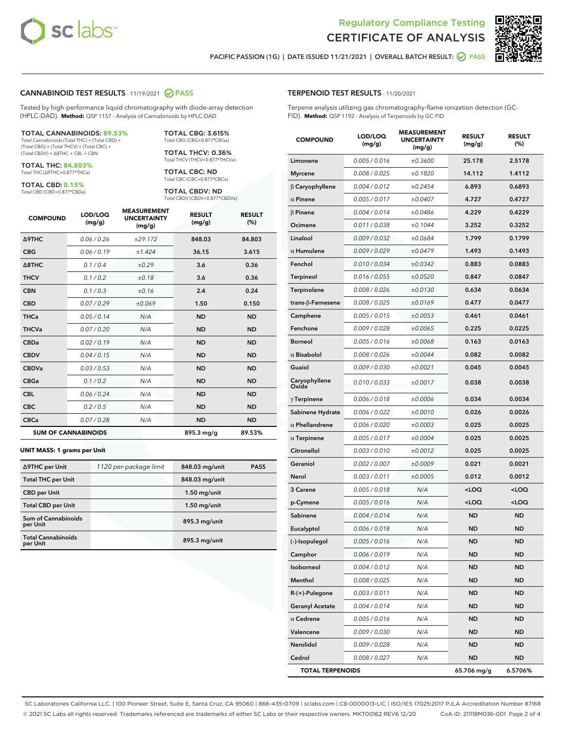



PACIFIC PASSION (1G) | DATE ISSUED 11/21/2021 | OVERALL BATCH RESULT:  $\bigcirc$  PASS

## CANNABINOID TEST RESULTS - 11/19/2021 2 PASS

Tested by high-performance liquid chromatography with diode-array detection (HPLC-DAD). **Method:** QSP 1157 - Analysis of Cannabinoids by HPLC-DAD

#### TOTAL CANNABINOIDS: **89.53%**

Total Cannabinoids (Total THC) + (Total CBD) + (Total CBG) + (Total THCV) + (Total CBC) + (Total CBDV) + ∆8THC + CBL + CBN

TOTAL THC: **84.803%** Total THC (∆9THC+0.877\*THCa)

TOTAL CBD: **0.15%**

Total CBD (CBD+0.877\*CBDa)

TOTAL CBG: 3.615% Total CBG (CBG+0.877\*CBGa)

TOTAL THCV: 0.36% Total THCV (THCV+0.877\*THCVa)

TOTAL CBC: ND Total CBC (CBC+0.877\*CBCa)

TOTAL CBDV: ND Total CBDV (CBDV+0.877\*CBDVa)

| <b>COMPOUND</b>  | LOD/LOQ<br>(mg/g)          | <b>MEASUREMENT</b><br><b>UNCERTAINTY</b><br>(mg/g) | <b>RESULT</b><br>(mg/g) | <b>RESULT</b><br>(%) |
|------------------|----------------------------|----------------------------------------------------|-------------------------|----------------------|
| Δ9THC            | 0.06/0.26                  | ±29.172                                            | 848.03                  | 84.803               |
| <b>CBG</b>       | 0.06/0.19                  | ±1.424                                             | 36.15                   | 3.615                |
| $\triangle$ 8THC | 0.1/0.4                    | ±0.29                                              | 3.6                     | 0.36                 |
| <b>THCV</b>      | 0.1/0.2                    | ±0.18                                              | 3.6                     | 0.36                 |
| <b>CBN</b>       | 0.1/0.3                    | ±0.16                                              | 2.4                     | 0.24                 |
| <b>CBD</b>       | 0.07/0.29                  | ±0.069                                             | 1.50                    | 0.150                |
| <b>THCa</b>      | 0.05 / 0.14                | N/A                                                | <b>ND</b>               | <b>ND</b>            |
| <b>THCVa</b>     | 0.07/0.20                  | N/A                                                | <b>ND</b>               | <b>ND</b>            |
| <b>CBDa</b>      | 0.02/0.19                  | N/A                                                | <b>ND</b>               | <b>ND</b>            |
| <b>CBDV</b>      | 0.04 / 0.15                | N/A                                                | <b>ND</b>               | <b>ND</b>            |
| <b>CBDVa</b>     | 0.03/0.53                  | N/A                                                | <b>ND</b>               | <b>ND</b>            |
| <b>CBGa</b>      | 0.1/0.2                    | N/A                                                | <b>ND</b>               | <b>ND</b>            |
| <b>CBL</b>       | 0.06 / 0.24                | N/A                                                | <b>ND</b>               | <b>ND</b>            |
| <b>CBC</b>       | 0.2 / 0.5                  | N/A                                                | <b>ND</b>               | <b>ND</b>            |
| <b>CBCa</b>      | 0.07/0.28                  | N/A                                                | <b>ND</b>               | <b>ND</b>            |
|                  | <b>SUM OF CANNABINOIDS</b> |                                                    | 895.3 mg/g              | 89.53%               |

#### **UNIT MASS: 1 grams per Unit**

| ∆9THC per Unit                        | 1120 per-package limit | 848.03 mg/unit | <b>PASS</b> |
|---------------------------------------|------------------------|----------------|-------------|
| <b>Total THC per Unit</b>             |                        | 848.03 mg/unit |             |
| <b>CBD</b> per Unit                   |                        | $1.50$ mg/unit |             |
| <b>Total CBD per Unit</b>             |                        | $1.50$ mg/unit |             |
| Sum of Cannabinoids<br>per Unit       |                        | 895.3 mg/unit  |             |
| <b>Total Cannabinoids</b><br>per Unit |                        | 895.3 mg/unit  |             |

# TERPENOID TEST RESULTS - 11/20/2021

Terpene analysis utilizing gas chromatography-flame ionization detection (GC-FID). **Method:** QSP 1192 - Analysis of Terpenoids by GC-FID

| <b>COMPOUND</b>           | LOD/LOQ<br>(mg/g) | <b>MEASUREMENT</b><br><b>UNCERTAINTY</b><br>(mg/g) | <b>RESULT</b><br>(mg/g)                         | <b>RESULT</b><br>(%) |
|---------------------------|-------------------|----------------------------------------------------|-------------------------------------------------|----------------------|
| Limonene                  | 0.005 / 0.016     | ±0.3600                                            | 25.178                                          | 2.5178               |
| <b>Myrcene</b>            | 0.008 / 0.025     | ±0.1820                                            | 14.112                                          | 1.4112               |
| $\beta$ Caryophyllene     | 0.004 / 0.012     | ±0.2454                                            | 6.893                                           | 0.6893               |
| $\alpha$ Pinene           | 0.005 / 0.017     | ±0.0407                                            | 4.727                                           | 0.4727               |
| $\beta$ Pinene            | 0.004 / 0.014     | ±0.0486                                            | 4.229                                           | 0.4229               |
| Ocimene                   | 0.011 / 0.038     | ±0.1044                                            | 3.252                                           | 0.3252               |
| Linalool                  | 0.009 / 0.032     | ±0.0684                                            | 1.799                                           | 0.1799               |
| $\alpha$ Humulene         | 0.009/0.029       | ±0.0479                                            | 1.493                                           | 0.1493               |
| Fenchol                   | 0.010 / 0.034     | ±0.0342                                            | 0.883                                           | 0.0883               |
| Terpineol                 | 0.016 / 0.055     | ±0.0520                                            | 0.847                                           | 0.0847               |
| Terpinolene               | 0.008 / 0.026     | ±0.0130                                            | 0.634                                           | 0.0634               |
| trans- $\beta$ -Farnesene | 0.008 / 0.025     | ±0.0169                                            | 0.477                                           | 0.0477               |
| Camphene                  | 0.005 / 0.015     | ±0.0053                                            | 0.461                                           | 0.0461               |
| Fenchone                  | 0.009 / 0.028     | ±0.0065                                            | 0.225                                           | 0.0225               |
| <b>Borneol</b>            | 0.005 / 0.016     | ±0.0068                                            | 0.163                                           | 0.0163               |
| $\alpha$ Bisabolol        | 0.008 / 0.026     | ±0.0044                                            | 0.082                                           | 0.0082               |
| Guaiol                    | 0.009 / 0.030     | ±0.0021                                            | 0.045                                           | 0.0045               |
| Caryophyllene<br>Oxide    | 0.010 / 0.033     | ±0.0017                                            | 0.038                                           | 0.0038               |
| $\gamma$ Terpinene        | 0.006 / 0.018     | ±0.0006                                            | 0.034                                           | 0.0034               |
| Sabinene Hydrate          | 0.006 / 0.022     | ±0.0010                                            | 0.026                                           | 0.0026               |
| $\alpha$ Phellandrene     | 0.006 / 0.020     | ±0.0003                                            | 0.025                                           | 0.0025               |
| $\alpha$ Terpinene        | 0.005 / 0.017     | ±0.0004                                            | 0.025                                           | 0.0025               |
| Citronellol               | 0.003 / 0.010     | ±0.0012                                            | 0.025                                           | 0.0025               |
| Geraniol                  | 0.002 / 0.007     | ±0.0009                                            | 0.021                                           | 0.0021               |
| Nerol                     | 0.003 / 0.011     | ±0.0005                                            | 0.012                                           | 0.0012               |
| 3 Carene                  | 0.005 / 0.018     | N/A                                                | <loq< th=""><th><loq< th=""></loq<></th></loq<> | <loq< th=""></loq<>  |
| p-Cymene                  | 0.005 / 0.016     | N/A                                                | <loq< th=""><th><loq< th=""></loq<></th></loq<> | <loq< th=""></loq<>  |
| Sabinene                  | 0.004 / 0.014     | N/A                                                | <b>ND</b>                                       | <b>ND</b>            |
| Eucalyptol                | 0.006 / 0.018     | N/A                                                | ND                                              | ND                   |
| (-)-Isopulegol            | 0.005 / 0.016     | N/A                                                | <b>ND</b>                                       | <b>ND</b>            |
| Camphor                   | 0.006 / 0.019     | N/A                                                | ND                                              | ND                   |
| Isoborneol                | 0.004 / 0.012     | N/A                                                | ND                                              | ND                   |
| Menthol                   | 0.008 / 0.025     | N/A                                                | ND                                              | ND                   |
| R-(+)-Pulegone            | 0.003 / 0.011     | N/A                                                | ND                                              | ND                   |
| <b>Geranyl Acetate</b>    | 0.004 / 0.014     | N/A                                                | ND                                              | ND                   |
| $\alpha$ Cedrene          | 0.005 / 0.016     | N/A                                                | ND                                              | ND                   |
| Valencene                 | 0.009 / 0.030     | N/A                                                | ND                                              | ND                   |
| Nerolidol                 | 0.009 / 0.028     | N/A                                                | ND                                              | ND                   |
| Cedrol                    | 0.008 / 0.027     | N/A                                                | ND                                              | ND                   |
| <b>TOTAL TERPENOIDS</b>   |                   |                                                    | 65.706 mg/g                                     | 6.5706%              |

SC Laboratories California LLC. | 100 Pioneer Street, Suite E, Santa Cruz, CA 95060 | 866-435-0709 | sclabs.com | C8-0000013-LIC | ISO/IES 17025:2017 PJLA Accreditation Number 87168 © 2021 SC Labs all rights reserved. Trademarks referenced are trademarks of either SC Labs or their respective owners. MKT00162 REV6 12/20 CoA ID: 211118M036-001 Page 2 of 4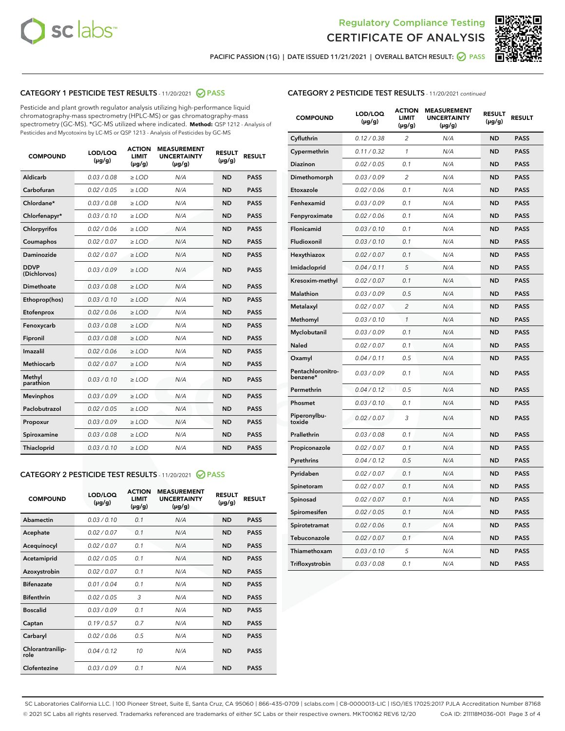



PACIFIC PASSION (1G) | DATE ISSUED 11/21/2021 | OVERALL BATCH RESULT:  $\bigcirc$  PASS

# CATEGORY 1 PESTICIDE TEST RESULTS - 11/20/2021 2 PASS

Pesticide and plant growth regulator analysis utilizing high-performance liquid chromatography-mass spectrometry (HPLC-MS) or gas chromatography-mass spectrometry (GC-MS). \*GC-MS utilized where indicated. **Method:** QSP 1212 - Analysis of Pesticides and Mycotoxins by LC-MS or QSP 1213 - Analysis of Pesticides by GC-MS

| <b>COMPOUND</b>             | LOD/LOQ<br>$(\mu g/g)$ | <b>ACTION</b><br><b>LIMIT</b><br>$(\mu g/g)$ | <b>MEASUREMENT</b><br><b>UNCERTAINTY</b><br>$(\mu g/g)$ | <b>RESULT</b><br>$(\mu g/g)$ | <b>RESULT</b> |
|-----------------------------|------------------------|----------------------------------------------|---------------------------------------------------------|------------------------------|---------------|
| Aldicarb                    | 0.03 / 0.08            | $\ge$ LOD                                    | N/A                                                     | <b>ND</b>                    | <b>PASS</b>   |
| Carbofuran                  | 0.02/0.05              | $>$ LOD                                      | N/A                                                     | <b>ND</b>                    | <b>PASS</b>   |
| Chlordane*                  | 0.03 / 0.08            | $\ge$ LOD                                    | N/A                                                     | <b>ND</b>                    | <b>PASS</b>   |
| Chlorfenapyr*               | 0.03/0.10              | $\ge$ LOD                                    | N/A                                                     | <b>ND</b>                    | <b>PASS</b>   |
| Chlorpyrifos                | 0.02 / 0.06            | $\ge$ LOD                                    | N/A                                                     | <b>ND</b>                    | <b>PASS</b>   |
| Coumaphos                   | 0.02 / 0.07            | $\ge$ LOD                                    | N/A                                                     | <b>ND</b>                    | <b>PASS</b>   |
| Daminozide                  | 0.02/0.07              | $>$ LOD                                      | N/A                                                     | <b>ND</b>                    | <b>PASS</b>   |
| <b>DDVP</b><br>(Dichlorvos) | 0.03/0.09              | $\ge$ LOD                                    | N/A                                                     | <b>ND</b>                    | <b>PASS</b>   |
| Dimethoate                  | 0.03/0.08              | $\ge$ LOD                                    | N/A                                                     | <b>ND</b>                    | <b>PASS</b>   |
| Ethoprop(hos)               | 0.03/0.10              | $>$ LOD                                      | N/A                                                     | <b>ND</b>                    | <b>PASS</b>   |
| Etofenprox                  | 0.02 / 0.06            | $\ge$ LOD                                    | N/A                                                     | <b>ND</b>                    | <b>PASS</b>   |
| Fenoxycarb                  | 0.03/0.08              | $\ge$ LOD                                    | N/A                                                     | <b>ND</b>                    | <b>PASS</b>   |
| Fipronil                    | 0.03/0.08              | $\ge$ LOD                                    | N/A                                                     | <b>ND</b>                    | <b>PASS</b>   |
| Imazalil                    | 0.02 / 0.06            | $\ge$ LOD                                    | N/A                                                     | <b>ND</b>                    | <b>PASS</b>   |
| <b>Methiocarb</b>           | 0.02 / 0.07            | $\ge$ LOD                                    | N/A                                                     | <b>ND</b>                    | <b>PASS</b>   |
| Methyl<br>parathion         | 0.03/0.10              | $\ge$ LOD                                    | N/A                                                     | <b>ND</b>                    | <b>PASS</b>   |
| <b>Mevinphos</b>            | 0.03/0.09              | $>$ LOD                                      | N/A                                                     | <b>ND</b>                    | <b>PASS</b>   |
| Paclobutrazol               | 0.02 / 0.05            | $\ge$ LOD                                    | N/A                                                     | <b>ND</b>                    | <b>PASS</b>   |
| Propoxur                    | 0.03/0.09              | $\ge$ LOD                                    | N/A                                                     | <b>ND</b>                    | <b>PASS</b>   |
| Spiroxamine                 | 0.03/0.08              | $\ge$ LOD                                    | N/A                                                     | <b>ND</b>                    | <b>PASS</b>   |
| Thiacloprid                 | 0.03/0.10              | $\ge$ LOD                                    | N/A                                                     | <b>ND</b>                    | <b>PASS</b>   |

### CATEGORY 2 PESTICIDE TEST RESULTS - 11/20/2021 @ PASS

| <b>COMPOUND</b>          | LOD/LOO<br>$(\mu g/g)$ | <b>ACTION</b><br>LIMIT<br>$(\mu g/g)$ | <b>MEASUREMENT</b><br><b>UNCERTAINTY</b><br>$(\mu g/g)$ | <b>RESULT</b><br>$(\mu g/g)$ | <b>RESULT</b> |  |
|--------------------------|------------------------|---------------------------------------|---------------------------------------------------------|------------------------------|---------------|--|
| Abamectin                | 0.03/0.10              | 0.1                                   | N/A                                                     | <b>ND</b>                    | <b>PASS</b>   |  |
| Acephate                 | 0.02/0.07              | 0.1                                   | N/A                                                     | <b>ND</b>                    | <b>PASS</b>   |  |
| Acequinocyl              | 0.02/0.07              | 0.1                                   | N/A                                                     | <b>ND</b>                    | <b>PASS</b>   |  |
| Acetamiprid              | 0.02/0.05              | 0.1                                   | N/A                                                     | <b>ND</b>                    | <b>PASS</b>   |  |
| Azoxystrobin             | 0.02/0.07              | 0.1                                   | N/A                                                     | <b>ND</b>                    | <b>PASS</b>   |  |
| <b>Bifenazate</b>        | 0.01 / 0.04            | 0.1                                   | N/A                                                     | <b>ND</b>                    | <b>PASS</b>   |  |
| <b>Bifenthrin</b>        | 0.02/0.05              | 3                                     | N/A                                                     | <b>ND</b>                    | <b>PASS</b>   |  |
| <b>Boscalid</b>          | 0.03/0.09              | 0.1                                   | N/A                                                     | <b>ND</b>                    | <b>PASS</b>   |  |
| Captan                   | 0.19/0.57              | 0.7                                   | N/A                                                     | <b>ND</b>                    | <b>PASS</b>   |  |
| Carbaryl                 | 0.02/0.06              | 0.5                                   | N/A                                                     | <b>ND</b>                    | <b>PASS</b>   |  |
| Chlorantranilip-<br>role | 0.04/0.12              | 10                                    | N/A                                                     | <b>ND</b>                    | <b>PASS</b>   |  |
| Clofentezine             | 0.03/0.09              | 0.1                                   | N/A                                                     | <b>ND</b>                    | <b>PASS</b>   |  |

| <b>COMPOUND</b>               | LOD/LOQ<br>(µg/g) | <b>ACTION</b><br><b>LIMIT</b><br>(µg/g) | <b>MEASUREMENT</b><br><b>UNCERTAINTY</b><br>$(\mu g/g)$ | <b>RESULT</b><br>(µg/g) | <b>RESULT</b> |
|-------------------------------|-------------------|-----------------------------------------|---------------------------------------------------------|-------------------------|---------------|
| Cyfluthrin                    | 0.12 / 0.38       | $\overline{c}$                          | N/A                                                     | <b>ND</b>               | <b>PASS</b>   |
| Cypermethrin                  | 0.11 / 0.32       | 1                                       | N/A                                                     | <b>ND</b>               | <b>PASS</b>   |
| <b>Diazinon</b>               | 0.02 / 0.05       | 0.1                                     | N/A                                                     | <b>ND</b>               | <b>PASS</b>   |
| Dimethomorph                  | 0.03 / 0.09       | 2                                       | N/A                                                     | <b>ND</b>               | <b>PASS</b>   |
| Etoxazole                     | 0.02 / 0.06       | 0.1                                     | N/A                                                     | <b>ND</b>               | <b>PASS</b>   |
| Fenhexamid                    | 0.03 / 0.09       | 0.1                                     | N/A                                                     | <b>ND</b>               | <b>PASS</b>   |
| Fenpyroximate                 | 0.02 / 0.06       | 0.1                                     | N/A                                                     | <b>ND</b>               | <b>PASS</b>   |
| Flonicamid                    | 0.03 / 0.10       | 0.1                                     | N/A                                                     | <b>ND</b>               | <b>PASS</b>   |
| Fludioxonil                   | 0.03 / 0.10       | 0.1                                     | N/A                                                     | <b>ND</b>               | <b>PASS</b>   |
| Hexythiazox                   | 0.02 / 0.07       | 0.1                                     | N/A                                                     | <b>ND</b>               | <b>PASS</b>   |
| Imidacloprid                  | 0.04 / 0.11       | 5                                       | N/A                                                     | <b>ND</b>               | <b>PASS</b>   |
| Kresoxim-methyl               | 0.02 / 0.07       | 0.1                                     | N/A                                                     | <b>ND</b>               | <b>PASS</b>   |
| Malathion                     | 0.03 / 0.09       | 0.5                                     | N/A                                                     | <b>ND</b>               | <b>PASS</b>   |
| Metalaxyl                     | 0.02 / 0.07       | $\overline{c}$                          | N/A                                                     | <b>ND</b>               | <b>PASS</b>   |
| Methomyl                      | 0.03 / 0.10       | $\mathcal{I}$                           | N/A                                                     | <b>ND</b>               | <b>PASS</b>   |
| Myclobutanil                  | 0.03 / 0.09       | 0.1                                     | N/A                                                     | <b>ND</b>               | <b>PASS</b>   |
| <b>Naled</b>                  | 0.02 / 0.07       | 0.1                                     | N/A                                                     | <b>ND</b>               | <b>PASS</b>   |
| Oxamyl                        | 0.04 / 0.11       | 0.5                                     | N/A                                                     | <b>ND</b>               | <b>PASS</b>   |
| Pentachloronitro-<br>benzene* | 0.03/0.09         | 0.1                                     | N/A                                                     | <b>ND</b>               | <b>PASS</b>   |
| Permethrin                    | 0.04 / 0.12       | 0.5                                     | N/A                                                     | <b>ND</b>               | <b>PASS</b>   |
| Phosmet                       | 0.03 / 0.10       | 0.1                                     | N/A                                                     | <b>ND</b>               | <b>PASS</b>   |
| Piperonylbu-<br>toxide        | 0.02 / 0.07       | 3                                       | N/A                                                     | <b>ND</b>               | <b>PASS</b>   |
| Prallethrin                   | 0.03 / 0.08       | 0.1                                     | N/A                                                     | <b>ND</b>               | <b>PASS</b>   |
| Propiconazole                 | 0.02 / 0.07       | 0.1                                     | N/A                                                     | <b>ND</b>               | <b>PASS</b>   |
| Pyrethrins                    | 0.04 / 0.12       | 0.5                                     | N/A                                                     | <b>ND</b>               | <b>PASS</b>   |
| Pyridaben                     | 0.02 / 0.07       | 0.1                                     | N/A                                                     | <b>ND</b>               | <b>PASS</b>   |
| Spinetoram                    | 0.02 / 0.07       | 0.1                                     | N/A                                                     | <b>ND</b>               | <b>PASS</b>   |
| Spinosad                      | 0.02 / 0.07       | 0.1                                     | N/A                                                     | <b>ND</b>               | <b>PASS</b>   |
| Spiromesifen                  | 0.02 / 0.05       | 0.1                                     | N/A                                                     | <b>ND</b>               | <b>PASS</b>   |
| Spirotetramat                 | 0.02 / 0.06       | 0.1                                     | N/A                                                     | ND                      | <b>PASS</b>   |
| Tebuconazole                  | 0.02 / 0.07       | 0.1                                     | N/A                                                     | <b>ND</b>               | <b>PASS</b>   |
| Thiamethoxam                  | 0.03 / 0.10       | 5                                       | N/A                                                     | <b>ND</b>               | <b>PASS</b>   |
| Trifloxystrobin               | 0.03 / 0.08       | 0.1                                     | N/A                                                     | <b>ND</b>               | <b>PASS</b>   |

SC Laboratories California LLC. | 100 Pioneer Street, Suite E, Santa Cruz, CA 95060 | 866-435-0709 | sclabs.com | C8-0000013-LIC | ISO/IES 17025:2017 PJLA Accreditation Number 87168 © 2021 SC Labs all rights reserved. Trademarks referenced are trademarks of either SC Labs or their respective owners. MKT00162 REV6 12/20 CoA ID: 211118M036-001 Page 3 of 4